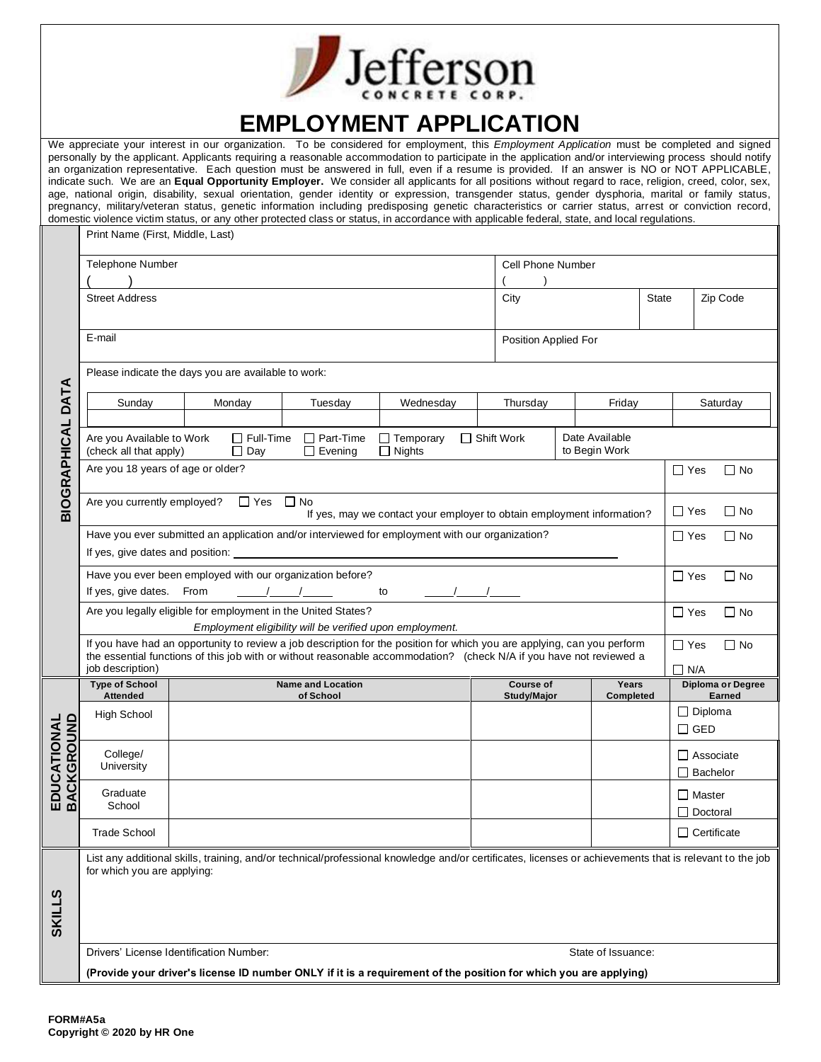| <b>Jefferson</b> |
|------------------|
|                  |

## **EMPLOYMENT APPLICATION**

|                          |                                                                                                                                                                                                                                                                                                                                             |                                                     |  |                                       | We appreciate your interest in our organization. To be considered for employment, this <i>Employment Application</i> must be completed and signed<br>personally by the applicant. Applicants requiring a reasonable accommodation to participate in the application and/or interviewing process should notify<br>an organization representative. Each question must be answered in full, even if a resume is provided. If an answer is NO or NOT APPLICABLE,<br>indicate such. We are an Equal Opportunity Employer. We consider all applicants for all positions without regard to race, religion, creed, color, sex,<br>age, national origin, disability, sexual orientation, gender identity or expression, transgender status, gender dysphoria, marital or family status, |                   |                                        |                          |                           |  |                                     |                                           |
|--------------------------|---------------------------------------------------------------------------------------------------------------------------------------------------------------------------------------------------------------------------------------------------------------------------------------------------------------------------------------------|-----------------------------------------------------|--|---------------------------------------|--------------------------------------------------------------------------------------------------------------------------------------------------------------------------------------------------------------------------------------------------------------------------------------------------------------------------------------------------------------------------------------------------------------------------------------------------------------------------------------------------------------------------------------------------------------------------------------------------------------------------------------------------------------------------------------------------------------------------------------------------------------------------------|-------------------|----------------------------------------|--------------------------|---------------------------|--|-------------------------------------|-------------------------------------------|
|                          | pregnancy, military/veteran status, genetic information including predisposing genetic characteristics or carrier status, arrest or conviction record,<br>domestic violence victim status, or any other protected class or status, in accordance with applicable federal, state, and local regulations.<br>Print Name (First, Middle, Last) |                                                     |  |                                       |                                                                                                                                                                                                                                                                                                                                                                                                                                                                                                                                                                                                                                                                                                                                                                                |                   |                                        |                          |                           |  |                                     |                                           |
|                          | Telephone Number                                                                                                                                                                                                                                                                                                                            |                                                     |  |                                       |                                                                                                                                                                                                                                                                                                                                                                                                                                                                                                                                                                                                                                                                                                                                                                                | Cell Phone Number |                                        |                          |                           |  |                                     |                                           |
|                          | <b>Street Address</b>                                                                                                                                                                                                                                                                                                                       |                                                     |  |                                       |                                                                                                                                                                                                                                                                                                                                                                                                                                                                                                                                                                                                                                                                                                                                                                                | City              |                                        |                          | State                     |  | Zip Code                            |                                           |
|                          | E-mail                                                                                                                                                                                                                                                                                                                                      |                                                     |  |                                       | Position Applied For                                                                                                                                                                                                                                                                                                                                                                                                                                                                                                                                                                                                                                                                                                                                                           |                   |                                        |                          |                           |  |                                     |                                           |
|                          |                                                                                                                                                                                                                                                                                                                                             | Please indicate the days you are available to work: |  |                                       |                                                                                                                                                                                                                                                                                                                                                                                                                                                                                                                                                                                                                                                                                                                                                                                |                   |                                        |                          |                           |  |                                     |                                           |
|                          | Sunday                                                                                                                                                                                                                                                                                                                                      | Monday                                              |  | Tuesday                               | Wednesday                                                                                                                                                                                                                                                                                                                                                                                                                                                                                                                                                                                                                                                                                                                                                                      |                   | Thursday                               |                          | Friday                    |  |                                     | Saturday                                  |
| <b>BIOGRAPHICAL DATA</b> | Date Available<br>$\Box$ Full-Time<br>$\Box$ Part-Time<br>$\Box$ Temporary<br>$\Box$ Shift Work<br>Are you Available to Work<br>to Begin Work<br>$\Box$ Day<br>$\Box$ Nights<br>(check all that apply)<br>$\Box$ Evening                                                                                                                    |                                                     |  |                                       |                                                                                                                                                                                                                                                                                                                                                                                                                                                                                                                                                                                                                                                                                                                                                                                |                   |                                        |                          |                           |  |                                     |                                           |
|                          | Are you 18 years of age or older?                                                                                                                                                                                                                                                                                                           |                                                     |  |                                       |                                                                                                                                                                                                                                                                                                                                                                                                                                                                                                                                                                                                                                                                                                                                                                                |                   |                                        | $\Box$ Yes               | $\Box$ No                 |  |                                     |                                           |
|                          | $\square$ Yes<br>$\Box$ No<br>Are you currently employed?<br>If yes, may we contact your employer to obtain employment information?                                                                                                                                                                                                         |                                                     |  |                                       |                                                                                                                                                                                                                                                                                                                                                                                                                                                                                                                                                                                                                                                                                                                                                                                |                   |                                        | $\Box$ Yes               | $\Box$ No                 |  |                                     |                                           |
|                          | Have you ever submitted an application and/or interviewed for employment with our organization?<br>If yes, give dates and position:                                                                                                                                                                                                         |                                                     |  |                                       |                                                                                                                                                                                                                                                                                                                                                                                                                                                                                                                                                                                                                                                                                                                                                                                |                   |                                        | $\Box$ Yes               | $\Box$ No                 |  |                                     |                                           |
|                          | Have you ever been employed with our organization before?<br>If yes, give dates. From<br>to                                                                                                                                                                                                                                                 |                                                     |  |                                       |                                                                                                                                                                                                                                                                                                                                                                                                                                                                                                                                                                                                                                                                                                                                                                                |                   |                                        | $\Box$ Yes               | $\Box$ No                 |  |                                     |                                           |
|                          | Are you legally eligible for employment in the United States?<br>Employment eligibility will be verified upon employment.                                                                                                                                                                                                                   |                                                     |  |                                       |                                                                                                                                                                                                                                                                                                                                                                                                                                                                                                                                                                                                                                                                                                                                                                                |                   |                                        | $\Box$ Yes               | $\Box$ No                 |  |                                     |                                           |
|                          | If you have had an opportunity to review a job description for the position for which you are applying, can you perform<br>the essential functions of this job with or without reasonable accommodation? (check N/A if you have not reviewed a<br>job description)                                                                          |                                                     |  |                                       |                                                                                                                                                                                                                                                                                                                                                                                                                                                                                                                                                                                                                                                                                                                                                                                |                   |                                        | $\Box$ Yes<br>$\Box$ N/A | $\Box$ No                 |  |                                     |                                           |
|                          | <b>Type of School</b><br><b>Attended</b>                                                                                                                                                                                                                                                                                                    |                                                     |  | <b>Name and Location</b><br>of School |                                                                                                                                                                                                                                                                                                                                                                                                                                                                                                                                                                                                                                                                                                                                                                                |                   | <b>Course of</b><br><b>Study/Major</b> |                          | Years<br><b>Completed</b> |  |                                     | <b>Diploma or Degree</b><br><b>Earned</b> |
| 을<br>5<br>$\vec{B}$      | <b>High School</b>                                                                                                                                                                                                                                                                                                                          |                                                     |  |                                       |                                                                                                                                                                                                                                                                                                                                                                                                                                                                                                                                                                                                                                                                                                                                                                                |                   |                                        |                          |                           |  | $\Box$ Diploma<br>$\square$ GED     |                                           |
| EDUCATIOI<br>BACKGROL    | College/<br>University                                                                                                                                                                                                                                                                                                                      |                                                     |  |                                       |                                                                                                                                                                                                                                                                                                                                                                                                                                                                                                                                                                                                                                                                                                                                                                                |                   |                                        |                          |                           |  | $\Box$ Associate<br>$\Box$ Bachelor |                                           |
|                          | Graduate<br>School                                                                                                                                                                                                                                                                                                                          |                                                     |  |                                       |                                                                                                                                                                                                                                                                                                                                                                                                                                                                                                                                                                                                                                                                                                                                                                                |                   |                                        |                          |                           |  | $\Box$ Master<br>$\Box$ Doctoral    |                                           |
|                          | <b>Trade School</b>                                                                                                                                                                                                                                                                                                                         |                                                     |  |                                       |                                                                                                                                                                                                                                                                                                                                                                                                                                                                                                                                                                                                                                                                                                                                                                                |                   |                                        |                          |                           |  | $\Box$ Certificate                  |                                           |
|                          | for which you are applying:                                                                                                                                                                                                                                                                                                                 |                                                     |  |                                       | List any additional skills, training, and/or technical/professional knowledge and/or certificates, licenses or achievements that is relevant to the job                                                                                                                                                                                                                                                                                                                                                                                                                                                                                                                                                                                                                        |                   |                                        |                          |                           |  |                                     |                                           |
| <b>SKILLS</b>            |                                                                                                                                                                                                                                                                                                                                             |                                                     |  |                                       |                                                                                                                                                                                                                                                                                                                                                                                                                                                                                                                                                                                                                                                                                                                                                                                |                   |                                        |                          |                           |  |                                     |                                           |
|                          | Drivers' License Identification Number:<br>State of Issuance:<br>(Provide your driver's license ID number ONLY if it is a requirement of the position for which you are applying)                                                                                                                                                           |                                                     |  |                                       |                                                                                                                                                                                                                                                                                                                                                                                                                                                                                                                                                                                                                                                                                                                                                                                |                   |                                        |                          |                           |  |                                     |                                           |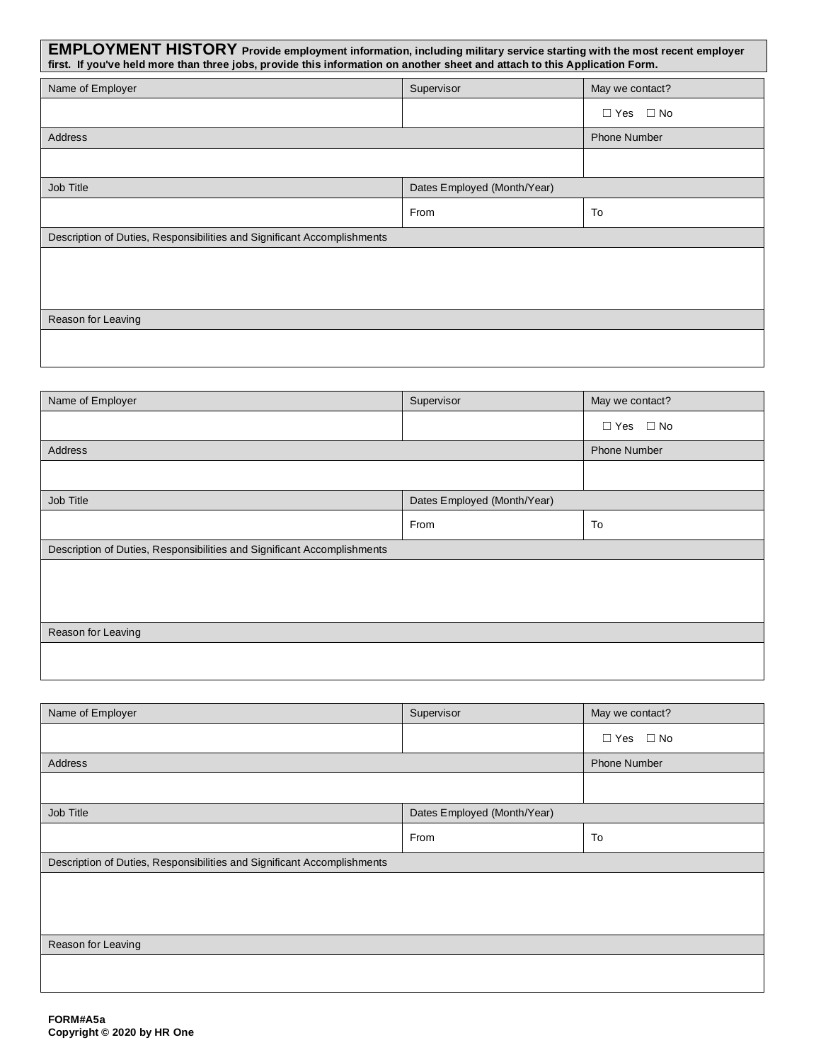| <b>EMPLOYMENT HISTORY</b> Provide employment information, including military service starting with the most recent employer<br>first. If you've held more than three jobs, provide this information on another sheet and attach to this Application Form. |                             |                         |  |  |  |  |
|-----------------------------------------------------------------------------------------------------------------------------------------------------------------------------------------------------------------------------------------------------------|-----------------------------|-------------------------|--|--|--|--|
| Name of Employer                                                                                                                                                                                                                                          | Supervisor                  | May we contact?         |  |  |  |  |
|                                                                                                                                                                                                                                                           |                             | $\Box$ Yes<br>$\Box$ No |  |  |  |  |
| <b>Address</b>                                                                                                                                                                                                                                            |                             | <b>Phone Number</b>     |  |  |  |  |
|                                                                                                                                                                                                                                                           |                             |                         |  |  |  |  |
| Job Title                                                                                                                                                                                                                                                 | Dates Employed (Month/Year) |                         |  |  |  |  |
|                                                                                                                                                                                                                                                           | From                        | To                      |  |  |  |  |
| Description of Duties, Responsibilities and Significant Accomplishments                                                                                                                                                                                   |                             |                         |  |  |  |  |
|                                                                                                                                                                                                                                                           |                             |                         |  |  |  |  |
|                                                                                                                                                                                                                                                           |                             |                         |  |  |  |  |
| Reason for Leaving                                                                                                                                                                                                                                        |                             |                         |  |  |  |  |
|                                                                                                                                                                                                                                                           |                             |                         |  |  |  |  |

| Name of Employer                                                        | Supervisor                  | May we contact?      |  |
|-------------------------------------------------------------------------|-----------------------------|----------------------|--|
|                                                                         |                             | $\Box$ Yes $\Box$ No |  |
| Address                                                                 | <b>Phone Number</b>         |                      |  |
|                                                                         |                             |                      |  |
| Job Title                                                               | Dates Employed (Month/Year) |                      |  |
|                                                                         | From                        | To                   |  |
| Description of Duties, Responsibilities and Significant Accomplishments |                             |                      |  |
|                                                                         |                             |                      |  |
|                                                                         |                             |                      |  |
|                                                                         |                             |                      |  |
| Reason for Leaving                                                      |                             |                      |  |
|                                                                         |                             |                      |  |
|                                                                         |                             |                      |  |

| Name of Employer                                                        | Supervisor                  | May we contact?      |  |  |
|-------------------------------------------------------------------------|-----------------------------|----------------------|--|--|
|                                                                         |                             | $\Box$ Yes $\Box$ No |  |  |
| Address                                                                 |                             | <b>Phone Number</b>  |  |  |
|                                                                         |                             |                      |  |  |
| Job Title                                                               | Dates Employed (Month/Year) |                      |  |  |
|                                                                         | From                        | To                   |  |  |
| Description of Duties, Responsibilities and Significant Accomplishments |                             |                      |  |  |
|                                                                         |                             |                      |  |  |
|                                                                         |                             |                      |  |  |
| Reason for Leaving                                                      |                             |                      |  |  |
|                                                                         |                             |                      |  |  |